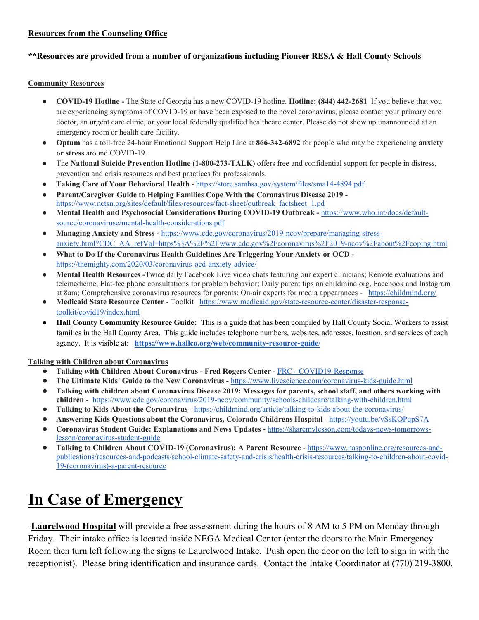#### **Resources from the Counseling Office**

#### **\*\*Resources are provided from a number of organizations including Pioneer RESA & Hall County Schools**

#### **Community Resources**

- **COVID-19 Hotline -** The State of Georgia has a new COVID-19 hotline. **Hotline: (844) 442-2681** If you believe that you are experiencing symptoms of COVID-19 or have been exposed to the novel coronavirus, please contact your primary care doctor, an urgent care clinic, or your local federally qualified healthcare center. Please do not show up unannounced at an emergency room or health care facility.
- **Optum** has a toll-free 24-hour Emotional Support Help Line at **866-342-6892** for people who may be experiencing **anxiety or stress** around COVID-19.
- The **National Suicide Prevention Hotline (1-800-273-TALK)** offers free and confidential support for people in distress, prevention and crisis resources and best practices for professionals.
- **Taking Care of Your Behavioral Health** <https://store.samhsa.gov/system/files/sma14-4894.pdf>
- **Parent/Caregiver Guide to Helping Families Cope With the Coronavirus Disease 2019**  [https://www.nctsn.org/sites/default/files/resources/fact-sheet/outbreak\\_factsheet\\_1.pd](https://www.nctsn.org/sites/default/files/resources/fact-sheet/outbreak_factsheet_1.pdf)
- **Mental Health and Psychosocial Considerations During COVID-19 Outbreak -** [https://www.who.int/docs/default](https://www.who.int/docs/default-source/coronaviruse/mental-health-considerations.pdf)[source/coronaviruse/mental-health-considerations.pdf](https://www.who.int/docs/default-source/coronaviruse/mental-health-considerations.pdf)
- **Managing Anxiety and Stress -** [https://www.cdc.gov/coronavirus/2019-ncov/prepare/managing-stress](https://www.cdc.gov/coronavirus/2019-ncov/prepare/managing-stress-anxiety.html?CDC_AA_refVal=https%3A%2F%2Fwww.cdc.gov%2Fcoronavirus%2F2019-ncov%2Fabout%2Fcoping.html)[anxiety.html?CDC\\_AA\\_refVal=https%3A%2F%2Fwww.cdc.gov%2Fcoronavirus%2F2019-ncov%2Fabout%2Fcoping.html](https://www.cdc.gov/coronavirus/2019-ncov/prepare/managing-stress-anxiety.html?CDC_AA_refVal=https%3A%2F%2Fwww.cdc.gov%2Fcoronavirus%2F2019-ncov%2Fabout%2Fcoping.html)
- **What to Do If the Coronavirus Health Guidelines Are Triggering Your Anxiety or OCD**  <https://themighty.com/2020/03/coronavirus-ocd-anxiety-advice/>
- **Mental Health Resources -**Twice daily Facebook Live video chats featuring our expert clinicians; Remote evaluations and telemedicine; Flat-fee phone consultations for problem behavior; Daily parent tips on childmind.org, Facebook and Instagram at 8am; Comprehensive coronavirus resources for parents; On-air experts for media appearances - <https://childmind.org/>
- **Medicaid State Resource Center** Toolkit [https://www.medicaid.gov/state-resource-center/disaster-response](https://www.medicaid.gov/state-resource-center/disaster-response-toolkit/covid19/index.html)[toolkit/covid19/index.html](https://www.medicaid.gov/state-resource-center/disaster-response-toolkit/covid19/index.html)
- **Hall County Community Resource Guide:** This is a guide that has been compiled by Hall County Social Workers to assist families in the Hall County Area. This guide includes telephone numbers, websites, addresses, location, and services of each agency. It is visible at: **<https://www.hallco.org/web/community-resource-guide/>**

#### **Talking with Children about Coronavirus**

- **Talking with Children About Coronavirus - Fred Rogers Center -** FRC [COVID19-Response](https://drive.google.com/open?id=1kds5zcncEbRohJzvOlF4U6hVZkyYx7Su)
- **The Ultimate Kids' Guide to the New Coronavirus -** <https://www.livescience.com/coronavirus-kids-guide.html>
- **Talking with children about Coronavirus Disease 2019: Messages for parents, school staff, and others working with children** - <https://www.cdc.gov/coronavirus/2019-ncov/community/schools-childcare/talking-with-children.html>
- **Talking to Kids About the Coronavirus** <https://childmind.org/article/talking-to-kids-about-the-coronavirus/>
- **Answering Kids Questions about the Coronavirus, Colorado Childrens Hospital** <https://youtu.be/vSsKQPqpS7A>
- **Coronavirus Student Guide: Explanations and News Updates** [https://sharemylesson.com/todays-news-tomorrows](https://sharemylesson.com/todays-news-tomorrows-lesson/coronavirus-student-guide)[lesson/coronavirus-student-guide](https://sharemylesson.com/todays-news-tomorrows-lesson/coronavirus-student-guide)
- **Talking to Children About COVID-19 (Coronavirus): A Parent Resource**  [https://www.nasponline.org/resources-and](https://www.nasponline.org/resources-and-publications/resources-and-podcasts/school-climate-safety-and-crisis/health-crisis-resources/talking-to-children-about-covid-19-(coronavirus)-a-parent-resource)[publications/resources-and-podcasts/school-climate-safety-and-crisis/health-crisis-resources/talking-to-children-about-covid-](https://www.nasponline.org/resources-and-publications/resources-and-podcasts/school-climate-safety-and-crisis/health-crisis-resources/talking-to-children-about-covid-19-(coronavirus)-a-parent-resource)[19-\(coronavirus\)-a-parent-resource](https://www.nasponline.org/resources-and-publications/resources-and-podcasts/school-climate-safety-and-crisis/health-crisis-resources/talking-to-children-about-covid-19-(coronavirus)-a-parent-resource)

# **In Case of Emergency**

-**Laurelwood Hospital** will provide a free assessment during the hours of 8 AM to 5 PM on Monday through Friday. Their intake office is located inside NEGA Medical Center (enter the doors to the Main Emergency Room then turn left following the signs to Laurelwood Intake. Push open the door on the left to sign in with the receptionist). Please bring identification and insurance cards. Contact the Intake Coordinator at (770) 219-3800.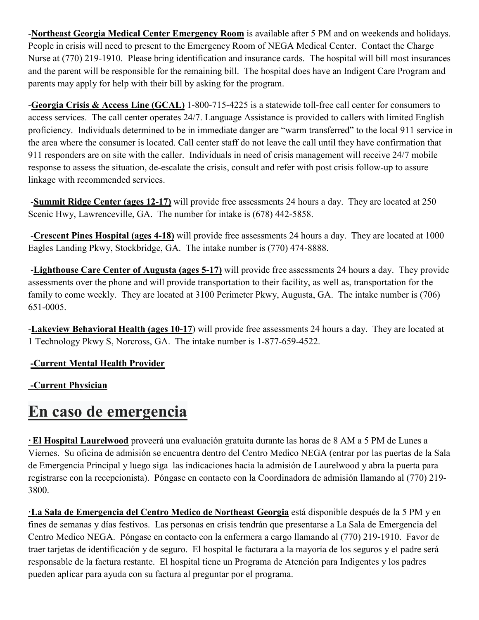-**Northeast Georgia Medical Center Emergency Room** is available after 5 PM and on weekends and holidays. People in crisis will need to present to the Emergency Room of NEGA Medical Center. Contact the Charge Nurse at (770) 219-1910. Please bring identification and insurance cards. The hospital will bill most insurances and the parent will be responsible for the remaining bill. The hospital does have an Indigent Care Program and parents may apply for help with their bill by asking for the program.

-**Georgia Crisis & Access Line (GCAL)** 1-800-715-4225 is a statewide toll-free call center for consumers to access services. The call center operates 24/7. Language Assistance is provided to callers with limited English proficiency. Individuals determined to be in immediate danger are "warm transferred" to the local 911 service in the area where the consumer is located. Call center staff do not leave the call until they have confirmation that 911 responders are on site with the caller. Individuals in need of crisis management will receive 24/7 mobile response to assess the situation, de-escalate the crisis, consult and refer with post crisis follow-up to assure linkage with recommended services.

-**Summit Ridge Center (ages 12-17)** will provide free assessments 24 hours a day. They are located at 250 Scenic Hwy, Lawrenceville, GA. The number for intake is (678) 442-5858.

-**Crescent Pines Hospital (ages 4-18)** will provide free assessments 24 hours a day. They are located at 1000 Eagles Landing Pkwy, Stockbridge, GA. The intake number is (770) 474-8888.

-**Lighthouse Care Center of Augusta (ages 5-17)** will provide free assessments 24 hours a day. They provide assessments over the phone and will provide transportation to their facility, as well as, transportation for the family to come weekly. They are located at 3100 Perimeter Pkwy, Augusta, GA. The intake number is (706) 651-0005.

-**Lakeview Behavioral Health (ages 10-17**) will provide free assessments 24 hours a day. They are located at 1 Technology Pkwy S, Norcross, GA. The intake number is 1-877-659-4522.

## **-Current Mental Health Provider**

# **-Current Physician**

# **En caso de emergencia**

**·El Hospital Laurelwood** proveerá una evaluación gratuita durante las horas de 8 AM a 5 PM de Lunes a Viernes. Su oficina de admisión se encuentra dentro del Centro Medico NEGA (entrar por las puertas de la Sala de Emergencia Principal y luego siga las indicaciones hacia la admisión de Laurelwood y abra la puerta para registrarse con la recepcionista). Póngase en contacto con la Coordinadora de admisión llamando al (770) 219- 3800.

**·La Sala de Emergencia del Centro Medico de Northeast Georgia** está disponible después de la 5 PM y en fines de semanas y días festivos. Las personas en crisis tendrán que presentarse a La Sala de Emergencia del Centro Medico NEGA. Póngase en contacto con la enfermera a cargo llamando al (770) 219-1910. Favor de traer tarjetas de identificación y de seguro. El hospital le facturara a la mayoría de los seguros y el padre será responsable de la factura restante. El hospital tiene un Programa de Atención para Indigentes y los padres pueden aplicar para ayuda con su factura al preguntar por el programa.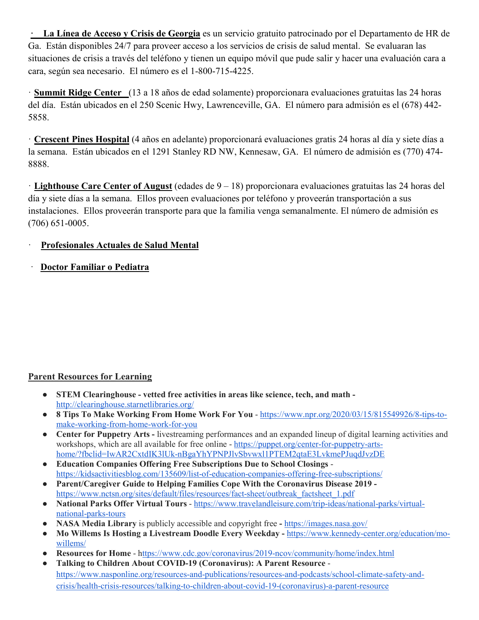**· La Línea de Acceso y Crisis de Georgia** es un servicio gratuito patrocinado por el Departamento de HR de Ga. Están disponibles 24/7 para proveer acceso a los servicios de crisis de salud mental. Se evaluaran las situaciones de crisis a través del teléfono y tienen un equipo móvil que pude salir y hacer una evaluación cara a cara, según sea necesario. El número es el 1-800-715-4225.

· **Summit Ridge Center** (13 a 18 años de edad solamente) proporcionara evaluaciones gratuitas las 24 horas del día. Están ubicados en el 250 Scenic Hwy, Lawrenceville, GA. El número para admisión es el (678) 442- 5858.

· **Crescent Pines Hospital** (4 años en adelante) proporcionará evaluaciones gratis 24 horas al día y siete días a la semana. Están ubicados en el 1291 Stanley RD NW, Kennesaw, GA. El número de admisión es (770) 474- 8888.

· **Lighthouse Care Center of August** (edades de 9 – 18) proporcionara evaluaciones gratuitas las 24 horas del día y siete días a la semana. Ellos proveen evaluaciones por teléfono y proveerán transportación a sus instalaciones. Ellos proveerán transporte para que la familia venga semanalmente. El número de admisión es (706) 651-0005.

## · **Profesionales Actuales de Salud Mental**

· **Doctor Familiar o Pediatra**

## **Parent Resources for Learning**

- **STEM Clearinghouse - vetted free activities in areas like science, tech, and math**  <http://clearinghouse.starnetlibraries.org/>
- **8 Tips To Make Working From Home Work For You** [https://www.npr.org/2020/03/15/815549926/8-tips-to](https://www.npr.org/2020/03/15/815549926/8-tips-to-make-working-from-home-work-for-you)[make-working-from-home-work-for-you](https://www.npr.org/2020/03/15/815549926/8-tips-to-make-working-from-home-work-for-you)
- **Center for Puppetry Arts -** livestreaming performances and an expanded lineup of digital learning activities and workshops, which are all available for free online - [https://puppet.org/center-for-puppetry-arts](https://puppet.org/center-for-puppetry-arts-home/?fbclid=IwAR2CxtdIK3lUk-nBgaYhYPNPJlvSbvwxl1PTEM2qtaE3LvkmePJuqdJvzDE)[home/?fbclid=IwAR2CxtdIK3lUk-nBgaYhYPNPJlvSbvwxl1PTEM2qtaE3LvkmePJuqdJvzDE](https://puppet.org/center-for-puppetry-arts-home/?fbclid=IwAR2CxtdIK3lUk-nBgaYhYPNPJlvSbvwxl1PTEM2qtaE3LvkmePJuqdJvzDE)
- **Education Companies Offering Free Subscriptions Due to School Closings** <https://kidsactivitiesblog.com/135609/list-of-education-companies-offering-free-subscriptions/>
- **Parent/Caregiver Guide to Helping Families Cope With the Coronavirus Disease 2019**  [https://www.nctsn.org/sites/default/files/resources/fact-sheet/outbreak\\_factsheet\\_1.pdf](https://www.nctsn.org/sites/default/files/resources/fact-sheet/outbreak_factsheet_1.pdf)
- **National Parks Offer Virtual Tours** [https://www.travelandleisure.com/trip-ideas/national-parks/virtual](https://www.travelandleisure.com/trip-ideas/national-parks/virtual-national-parks-tours)[national-parks-tours](https://www.travelandleisure.com/trip-ideas/national-parks/virtual-national-parks-tours)
- **NASA Media Library** is publicly accessible and copyright free **-** <https://images.nasa.gov/>
- **Mo Willems Is Hosting a Livestream Doodle Every Weekday -** [https://www.kennedy-center.org/education/mo](https://www.kennedy-center.org/education/mo-willems/)[willems/](https://www.kennedy-center.org/education/mo-willems/)
- **Resources for Home** <https://www.cdc.gov/coronavirus/2019-ncov/community/home/index.html>
- **Talking to Children About COVID-19 (Coronavirus): A Parent Resource** [https://www.nasponline.org/resources-and-publications/resources-and-podcasts/school-climate-safety-and](https://www.nasponline.org/resources-and-publications/resources-and-podcasts/school-climate-safety-and-crisis/health-crisis-resources/talking-to-children-about-covid-19-(coronavirus)-a-parent-resource)[crisis/health-crisis-resources/talking-to-children-about-covid-19-\(coronavirus\)-a-parent-resource](https://www.nasponline.org/resources-and-publications/resources-and-podcasts/school-climate-safety-and-crisis/health-crisis-resources/talking-to-children-about-covid-19-(coronavirus)-a-parent-resource)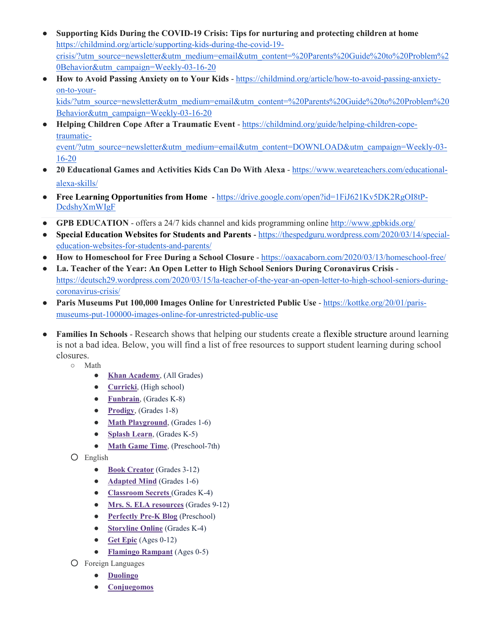- **Supporting Kids During the COVID-19 Crisis: Tips for nurturing and protecting children at home** [https://childmind.org/article/supporting-kids-during-the-covid-19](https://childmind.org/article/supporting-kids-during-the-covid-19-crisis/?utm_source=newsletter&utm_medium=email&utm_content=%20Parents%20Guide%20to%20Problem%20Behavior&utm_campaign=Weekly-03-16-20) [crisis/?utm\\_source=newsletter&utm\\_medium=email&utm\\_content=%20Parents%20Guide%20to%20Problem%2](https://childmind.org/article/supporting-kids-during-the-covid-19-crisis/?utm_source=newsletter&utm_medium=email&utm_content=%20Parents%20Guide%20to%20Problem%20Behavior&utm_campaign=Weekly-03-16-20) [0Behavior&utm\\_campaign=Weekly-03-16-20](https://childmind.org/article/supporting-kids-during-the-covid-19-crisis/?utm_source=newsletter&utm_medium=email&utm_content=%20Parents%20Guide%20to%20Problem%20Behavior&utm_campaign=Weekly-03-16-20)
- **How to Avoid Passing Anxiety on to Your Kids** [https://childmind.org/article/how-to-avoid-passing-anxiety](https://childmind.org/article/how-to-avoid-passing-anxiety-on-to-your-kids/?utm_source=newsletter&utm_medium=email&utm_content=%20Parents%20Guide%20to%20Problem%20Behavior&utm_campaign=Weekly-03-16-20)[on-to-your-](https://childmind.org/article/how-to-avoid-passing-anxiety-on-to-your-kids/?utm_source=newsletter&utm_medium=email&utm_content=%20Parents%20Guide%20to%20Problem%20Behavior&utm_campaign=Weekly-03-16-20)

[kids/?utm\\_source=newsletter&utm\\_medium=email&utm\\_content=%20Parents%20Guide%20to%20Problem%20](https://childmind.org/article/how-to-avoid-passing-anxiety-on-to-your-kids/?utm_source=newsletter&utm_medium=email&utm_content=%20Parents%20Guide%20to%20Problem%20Behavior&utm_campaign=Weekly-03-16-20) [Behavior&utm\\_campaign=Weekly-03-16-20](https://childmind.org/article/how-to-avoid-passing-anxiety-on-to-your-kids/?utm_source=newsletter&utm_medium=email&utm_content=%20Parents%20Guide%20to%20Problem%20Behavior&utm_campaign=Weekly-03-16-20)

● **Helping Children Cope After a Traumatic Event** - [https://childmind.org/guide/helping-children-cope](https://childmind.org/guide/helping-children-cope-traumatic-event/?utm_source=newsletter&utm_medium=email&utm_content=DOWNLOAD&utm_campaign=Weekly-03-16-20)[traumatic-](https://childmind.org/guide/helping-children-cope-traumatic-event/?utm_source=newsletter&utm_medium=email&utm_content=DOWNLOAD&utm_campaign=Weekly-03-16-20)

[event/?utm\\_source=newsletter&utm\\_medium=email&utm\\_content=DOWNLOAD&utm\\_campaign=Weekly-03-](https://childmind.org/guide/helping-children-cope-traumatic-event/?utm_source=newsletter&utm_medium=email&utm_content=DOWNLOAD&utm_campaign=Weekly-03-16-20) [16-20](https://childmind.org/guide/helping-children-cope-traumatic-event/?utm_source=newsletter&utm_medium=email&utm_content=DOWNLOAD&utm_campaign=Weekly-03-16-20)

- **20 Educational Games and Activities Kids Can Do With Alexa** [https://www.weareteachers.com/educational](https://www.weareteachers.com/educational-alexa-skills/)[alexa-skills/](https://www.weareteachers.com/educational-alexa-skills/)
- **Free Learning Opportunities from Home** [https://drive.google.com/open?id=1FiJ621Kv5DK2RgOI8tP-](https://drive.google.com/open?id=1FiJ621Kv5DK2RgOI8tP-DcdshyXmWIgF)[DcdshyXmWIgF](https://drive.google.com/open?id=1FiJ621Kv5DK2RgOI8tP-DcdshyXmWIgF)
- **GPB EDUCATION** offers a 24/7 kids channel and kids programming onlin[e http://www.gpbkids.org/](http://www.gpbkids.org/)
- **Special Education Websites for Students and Parents** [https://thespedguru.wordpress.com/2020/03/14/special](https://thespedguru.wordpress.com/2020/03/14/special-education-websites-for-students-and-parents/)[education-websites-for-students-and-parents/](https://thespedguru.wordpress.com/2020/03/14/special-education-websites-for-students-and-parents/)
- **How to Homeschool for Free During a School Closure** <https://oaxacaborn.com/2020/03/13/homeschool-free/>
- **La. Teacher of the Year: An Open Letter to High School Seniors During Coronavirus Crisis** [https://deutsch29.wordpress.com/2020/03/15/la-teacher-of-the-year-an-open-letter-to-high-school-seniors-during](https://deutsch29.wordpress.com/2020/03/15/la-teacher-of-the-year-an-open-letter-to-high-school-seniors-during-coronavirus-crisis/)[coronavirus-crisis/](https://deutsch29.wordpress.com/2020/03/15/la-teacher-of-the-year-an-open-letter-to-high-school-seniors-during-coronavirus-crisis/)
- **Paris Museums Put 100,000 Images Online for Unrestricted Public Use**  [https://kottke.org/20/01/paris](https://kottke.org/20/01/paris-museums-put-100000-images-online-for-unrestricted-public-use)[museums-put-100000-images-online-for-unrestricted-public-use](https://kottke.org/20/01/paris-museums-put-100000-images-online-for-unrestricted-public-use)
- **Families In Schools** Research shows that helping our students create a [flexible structure](http://r20.rs6.net/tn.jsp?f=0015nQuEtfKfqjU2PhdwjPoKC6Bi9TvjaeozzT0DHm7S1ZRGK_i2BXqhjZIlUT-OfiqKnd47436BGSDXJsq4XS9__WEjUFPSl_99hwEdQaKKR48PdGLq2qinXjwBhnDdiDdrzzebsZo-i-vrL0OTEU9b5xAcP8YfAanxjPSQsyX4QgMq6pnBqjZ4kA0qShqbOX9eNARQRCcVXzDLK8Gc1ho4sEamBWlEuAbiGEoYXzhh6IDHFTMDQuea25wA4rt6Ybb&c=R6E90rOht3hdV9TQiwFrHersHAddkP4g4T37mEovK-Zqr4tV1-5Lng==&ch=ME4lA_B57k1uYPmH5XwImUJNK89HdrLO-ZGAVP9o1nz8W7OiA6MhhA==) around learning is not a bad idea. Below, you will find a list of free resources to support student learning during school closures.
	- Math
		- **[Khan Academy](http://r20.rs6.net/tn.jsp?f=0015nQuEtfKfqjU2PhdwjPoKC6Bi9TvjaeozzT0DHm7S1ZRGK_i2BXqhjZIlUT-Ofiq_YHOsLZnCzImKoJOJ92tzQknTmpMAM17_u33wTN0kFnlNAZUCzMlv42Rg027No5hrjajGg0FfpURyg6bX_BHQO6qF74B3gQS&c=R6E90rOht3hdV9TQiwFrHersHAddkP4g4T37mEovK-Zqr4tV1-5Lng==&ch=ME4lA_B57k1uYPmH5XwImUJNK89HdrLO-ZGAVP9o1nz8W7OiA6MhhA==)**, (All Grades)
		- **[Curricki](http://r20.rs6.net/tn.jsp?f=0015nQuEtfKfqjU2PhdwjPoKC6Bi9TvjaeozzT0DHm7S1ZRGK_i2BXqhjZIlUT-Ofiqir_EaR-g0r-4O6WKtKfy8eCP8tmxAuHGK73jHYiTHcYTaPk3xHJNJGEyv3husSGjwxaz5bblgW5KZ9_4PGNYo2JuRFOHL9sntg0mV5hWnQo=&c=R6E90rOht3hdV9TQiwFrHersHAddkP4g4T37mEovK-Zqr4tV1-5Lng==&ch=ME4lA_B57k1uYPmH5XwImUJNK89HdrLO-ZGAVP9o1nz8W7OiA6MhhA==)**, (High school)
		- **[Funbrain](http://r20.rs6.net/tn.jsp?f=0015nQuEtfKfqjU2PhdwjPoKC6Bi9TvjaeozzT0DHm7S1ZRGK_i2BXqhjZIlUT-Ofiq5i2nD1dcgE8K8Bs5A_5DI3wwhT_hNHq6Ge0KGrKidbmQ6ikz7Le-RlG0ScZ6M1g2pENmMbQybpYQz5ToHwSQ7w==&c=R6E90rOht3hdV9TQiwFrHersHAddkP4g4T37mEovK-Zqr4tV1-5Lng==&ch=ME4lA_B57k1uYPmH5XwImUJNK89HdrLO-ZGAVP9o1nz8W7OiA6MhhA==)**, (Grades K-8)
		- **[Prodigy](http://r20.rs6.net/tn.jsp?f=0015nQuEtfKfqjU2PhdwjPoKC6Bi9TvjaeozzT0DHm7S1ZRGK_i2BXqhjZIlUT-Ofiq6LpWAhxqbc3zO8dRPfKsmOp7gRS_r-ftG8rrWRkrm4BOZuL4NNzaU_0n1WRpoIij1BEZ_o7BV0WXJYoUT8J78A==&c=R6E90rOht3hdV9TQiwFrHersHAddkP4g4T37mEovK-Zqr4tV1-5Lng==&ch=ME4lA_B57k1uYPmH5XwImUJNK89HdrLO-ZGAVP9o1nz8W7OiA6MhhA==)**, (Grades 1-8)
		- **[Math Playground](http://r20.rs6.net/tn.jsp?f=0015nQuEtfKfqjU2PhdwjPoKC6Bi9TvjaeozzT0DHm7S1ZRGK_i2BXqhjZIlUT-OfiqR8tmxkTIZ2Ckb9wa7LdeR2Hb3bzSp3Jd1fwdrmsNzAUTB9bIwjEqPfO7QOliCU6KSq0ZmQzVj4qeF0UEXVPgU0O7RzUzqWcW&c=R6E90rOht3hdV9TQiwFrHersHAddkP4g4T37mEovK-Zqr4tV1-5Lng==&ch=ME4lA_B57k1uYPmH5XwImUJNK89HdrLO-ZGAVP9o1nz8W7OiA6MhhA==)**, (Grades 1-6)
		- **[Splash Learn](http://r20.rs6.net/tn.jsp?f=0015nQuEtfKfqjU2PhdwjPoKC6Bi9TvjaeozzT0DHm7S1ZRGK_i2BXqhjZIlUT-OfiqdbbyVIjzybER9fF6vJ2tXfglWn67zFiIcL1gDZdHTLQdUZ5qOfqv1nEg49Ay0Q_Ww-bf3Q4C-Pnfb6Rs3oDQlg==&c=R6E90rOht3hdV9TQiwFrHersHAddkP4g4T37mEovK-Zqr4tV1-5Lng==&ch=ME4lA_B57k1uYPmH5XwImUJNK89HdrLO-ZGAVP9o1nz8W7OiA6MhhA==)**, (Grades K-5)
		- **[Math Game Time](http://r20.rs6.net/tn.jsp?f=0015nQuEtfKfqjU2PhdwjPoKC6Bi9TvjaeozzT0DHm7S1ZRGK_i2BXqhjZIlUT-OfiqYHfcW0Um6bIUSjIq2h7rrCUrffzMVVaKxQHNe6_I-HDtovMtIg_EQX-afL3giQH-Rm3I6Yz6hfsL0PVfUEdfHg==&c=R6E90rOht3hdV9TQiwFrHersHAddkP4g4T37mEovK-Zqr4tV1-5Lng==&ch=ME4lA_B57k1uYPmH5XwImUJNK89HdrLO-ZGAVP9o1nz8W7OiA6MhhA==)**, (Preschool-7th)
	- English
		- **[Book Creator](http://r20.rs6.net/tn.jsp?f=0015nQuEtfKfqjU2PhdwjPoKC6Bi9TvjaeozzT0DHm7S1ZRGK_i2BXqhjZIlUT-OfiqaFx_InzG5r9jhm7IzbuD4_qxbEhZI3Nh0FtQXJTUsHiVj4wIL7MmvJ648BRjwxTQjWJlz5lsu0fPLT1B2cTpdbiKYW_ZdPgi&c=R6E90rOht3hdV9TQiwFrHersHAddkP4g4T37mEovK-Zqr4tV1-5Lng==&ch=ME4lA_B57k1uYPmH5XwImUJNK89HdrLO-ZGAVP9o1nz8W7OiA6MhhA==)** (Grades 3-12)
		- **[Adapted Mind](http://r20.rs6.net/tn.jsp?f=0015nQuEtfKfqjU2PhdwjPoKC6Bi9TvjaeozzT0DHm7S1ZRGK_i2BXqhjZIlUT-OfiqlERM6XVnbe-GkHNdkkcWc3qCnsHT9BIH0EVn3pCgpn2-SLPiEl7Rcn8GUDKsH_o21HE7QZjYLirU3CMSCWGEDVcQ0Bb40u0aXYhjJmQmI_o=&c=R6E90rOht3hdV9TQiwFrHersHAddkP4g4T37mEovK-Zqr4tV1-5Lng==&ch=ME4lA_B57k1uYPmH5XwImUJNK89HdrLO-ZGAVP9o1nz8W7OiA6MhhA==)** (Grades 1-6)
		- **[Classroom Secrets](http://r20.rs6.net/tn.jsp?f=0015nQuEtfKfqjU2PhdwjPoKC6Bi9TvjaeozzT0DHm7S1ZRGK_i2BXqhjZIlUT-OfiqB_DCgOI4zdmSpV0AmOEn5CPdQzdanrcoJM_RfX2ZmADjnJlKUghGJGo1eOgyG80Jw7nYFEqCh_lt2mqX9KBcsfB60eRhikWv&c=R6E90rOht3hdV9TQiwFrHersHAddkP4g4T37mEovK-Zqr4tV1-5Lng==&ch=ME4lA_B57k1uYPmH5XwImUJNK89HdrLO-ZGAVP9o1nz8W7OiA6MhhA==)** (Grades K-4)
		- **[Mrs. S. ELA resources](http://r20.rs6.net/tn.jsp?f=0015nQuEtfKfqjU2PhdwjPoKC6Bi9TvjaeozzT0DHm7S1ZRGK_i2BXqhjZIlUT-OfiqAYMmFDX_b0RkdB1isxONygVNOKCR72Yy_MDnQ1cnYn5bq2Nr4czh0ua33a6Ymjsse0KJOCB5ZA99T7DYtnySTU4M-1Ikh3TijsCotH9NzFUr1XssmHYdVWe82Tl4zIa6c_kviHK1mo0aHZZif8X9q-9EjXkIJvfg&c=R6E90rOht3hdV9TQiwFrHersHAddkP4g4T37mEovK-Zqr4tV1-5Lng==&ch=ME4lA_B57k1uYPmH5XwImUJNK89HdrLO-ZGAVP9o1nz8W7OiA6MhhA==)** (Grades 9-12)
		- **[Perfectly Pre-K Blog](http://r20.rs6.net/tn.jsp?f=0015nQuEtfKfqjU2PhdwjPoKC6Bi9TvjaeozzT0DHm7S1ZRGK_i2BXqhjZIlUT-OfiqQynftroOtXHct5wtnjbSSZ2gZyP5_NM954B8Ll8yAq5dbzBzM2syu5hDRBvNECDZQj6hEC9K_z3_wIfvvrm7HMM8lYoylrSUiYJ7bHfpd9s=&c=R6E90rOht3hdV9TQiwFrHersHAddkP4g4T37mEovK-Zqr4tV1-5Lng==&ch=ME4lA_B57k1uYPmH5XwImUJNK89HdrLO-ZGAVP9o1nz8W7OiA6MhhA==)** (Preschool)
		- **[Storyline Online](http://r20.rs6.net/tn.jsp?f=0015nQuEtfKfqjU2PhdwjPoKC6Bi9TvjaeozzT0DHm7S1ZRGK_i2BXqhjZIlUT-Ofiq6cDyo3QEP39OSs4VVHrZUwItn4-HzG4C-TwtSVJWw-67Sc3DJPNQLOnH2QyGGGvmnT5pEhlOvQoPzhiQYzKm9RjlEfex2eal3yM_6-naXGk=&c=R6E90rOht3hdV9TQiwFrHersHAddkP4g4T37mEovK-Zqr4tV1-5Lng==&ch=ME4lA_B57k1uYPmH5XwImUJNK89HdrLO-ZGAVP9o1nz8W7OiA6MhhA==)** (Grades K-4)
		- **[Get Epic](http://r20.rs6.net/tn.jsp?f=0015nQuEtfKfqjU2PhdwjPoKC6Bi9TvjaeozzT0DHm7S1ZRGK_i2BXqhjZIlUT-Ofiqh-o-KoKdPC0_5FQvIVuFCY13NIt3Xt-KA5MEaly7cQIgUu6r5SOQPs8eU_vufbtdCqL6OIXdqyOaXbVu7cwlvg==&c=R6E90rOht3hdV9TQiwFrHersHAddkP4g4T37mEovK-Zqr4tV1-5Lng==&ch=ME4lA_B57k1uYPmH5XwImUJNK89HdrLO-ZGAVP9o1nz8W7OiA6MhhA==)** (Ages 0-12)
		- **[Flamingo Rampant](http://r20.rs6.net/tn.jsp?f=0015nQuEtfKfqjU2PhdwjPoKC6Bi9TvjaeozzT0DHm7S1ZRGK_i2BXqhjZIlUT-Ofiqdwyc3cQO7lZheKsXj1YVGH96siXY2eaVX8CP3qW7UUsSukn11gRjzfWBoMHcC4Am8m1XMcLfSYh3_PbogzfV3C9-w0rIEXoiNgrUqPzOLiE=&c=R6E90rOht3hdV9TQiwFrHersHAddkP4g4T37mEovK-Zqr4tV1-5Lng==&ch=ME4lA_B57k1uYPmH5XwImUJNK89HdrLO-ZGAVP9o1nz8W7OiA6MhhA==)** (Ages 0-5)
	- Foreign Languages
		- **[Duolingo](http://r20.rs6.net/tn.jsp?f=0015nQuEtfKfqjU2PhdwjPoKC6Bi9TvjaeozzT0DHm7S1ZRGK_i2BXqhjZIlUT-OfiqFBTJopltir5pmKpGh1AnqYshdzNDKPkra8i5h9ndFPI_wsS9qzds2EGWjwwJdgbeWHuqIltpLQ5qa_DJ85_iKQ==&c=R6E90rOht3hdV9TQiwFrHersHAddkP4g4T37mEovK-Zqr4tV1-5Lng==&ch=ME4lA_B57k1uYPmH5XwImUJNK89HdrLO-ZGAVP9o1nz8W7OiA6MhhA==)**
		- **[Conjuegomos](http://r20.rs6.net/tn.jsp?f=0015nQuEtfKfqjU2PhdwjPoKC6Bi9TvjaeozzT0DHm7S1ZRGK_i2BXqhjZIlUT-OfiqhHClhPJ6CVLfMya6MXzi1ElF9nqRc1N0RkDkPlnE4A-0tgMW66yVZHoP783y2cCwhaZKPYZa91BnDTSAmO6LAwdZhMltGDAawJAqhV1Znv_LAnozkPlUg6iJwVcbeTzJ&c=R6E90rOht3hdV9TQiwFrHersHAddkP4g4T37mEovK-Zqr4tV1-5Lng==&ch=ME4lA_B57k1uYPmH5XwImUJNK89HdrLO-ZGAVP9o1nz8W7OiA6MhhA==)**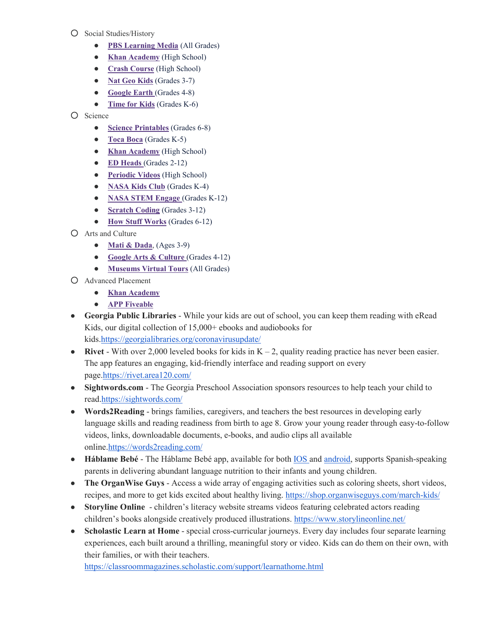- Social Studies/History
	- **[PBS Learning Media](http://r20.rs6.net/tn.jsp?f=0015nQuEtfKfqjU2PhdwjPoKC6Bi9TvjaeozzT0DHm7S1ZRGK_i2BXqhjZIlUT-OfiqOHAUiCxoTz6hpaivCzj0AA-q_sr8GeSQ9Q2Z7d6S16YeI-58CHl7AOcf4tS5xfUEeuJLDkBClBwHVbzEuNMlRa1CiWFVtZP_&c=R6E90rOht3hdV9TQiwFrHersHAddkP4g4T37mEovK-Zqr4tV1-5Lng==&ch=ME4lA_B57k1uYPmH5XwImUJNK89HdrLO-ZGAVP9o1nz8W7OiA6MhhA==)** (All Grades)
	- **[Khan Academy](http://r20.rs6.net/tn.jsp?f=0015nQuEtfKfqjU2PhdwjPoKC6Bi9TvjaeozzT0DHm7S1ZRGK_i2BXqhjZIlUT-OfiqXzc1qCiE04iVwIgGWSwCVYct1i827wX6Dan06JaU4dQXQ5L7HumOk88tAXXa1b3nSm-QnMyqgXU578WFZ2i33sD6rbQDQb6p&c=R6E90rOht3hdV9TQiwFrHersHAddkP4g4T37mEovK-Zqr4tV1-5Lng==&ch=ME4lA_B57k1uYPmH5XwImUJNK89HdrLO-ZGAVP9o1nz8W7OiA6MhhA==)** (High School)
	- **[Crash Course](http://r20.rs6.net/tn.jsp?f=0015nQuEtfKfqjU2PhdwjPoKC6Bi9TvjaeozzT0DHm7S1ZRGK_i2BXqhjZIlUT-Ofiq3MnBbQDDs5Q77nRa5unVbIS6KB87I0FmQURU1RMc1Q3CBnWt1rR6aSUkQgPsSLCDoj_Pzkge8VlmqoFUyYNHCIt-hsrf8_gc&c=R6E90rOht3hdV9TQiwFrHersHAddkP4g4T37mEovK-Zqr4tV1-5Lng==&ch=ME4lA_B57k1uYPmH5XwImUJNK89HdrLO-ZGAVP9o1nz8W7OiA6MhhA==)** (High School)
	- **[Nat Geo Kids](http://r20.rs6.net/tn.jsp?f=0015nQuEtfKfqjU2PhdwjPoKC6Bi9TvjaeozzT0DHm7S1ZRGK_i2BXqhjZIlUT-Ofiq_zOeN-R0Z6_DZ2PxEG7PHEAulUsLQZGVrTOlHTq0fw-sles0lLpvpPlWJ1096gdxQxpBQ7EkuCnaEbdb_dbUSe2lBBi-MMCb&c=R6E90rOht3hdV9TQiwFrHersHAddkP4g4T37mEovK-Zqr4tV1-5Lng==&ch=ME4lA_B57k1uYPmH5XwImUJNK89HdrLO-ZGAVP9o1nz8W7OiA6MhhA==)** (Grades 3-7)
	- **[Google Earth](http://r20.rs6.net/tn.jsp?f=0015nQuEtfKfqjU2PhdwjPoKC6Bi9TvjaeozzT0DHm7S1ZRGK_i2BXqhjZIlUT-Ofiqw9c5Dhk120ju0Fp5KW8XiJQ4mZIObhL5gOHTnO2HwjEHDN2EDGHHk40cO8KOlBzSGO3ILy4yb9rQM1t4hBBDAUi_ctXpIQrsDJRIGcP2N57g8sUNlmN9kYBvlot6oMgC&c=R6E90rOht3hdV9TQiwFrHersHAddkP4g4T37mEovK-Zqr4tV1-5Lng==&ch=ME4lA_B57k1uYPmH5XwImUJNK89HdrLO-ZGAVP9o1nz8W7OiA6MhhA==)** (Grades 4-8)
	- **[Time for Kids](http://r20.rs6.net/tn.jsp?f=0015nQuEtfKfqjU2PhdwjPoKC6Bi9TvjaeozzT0DHm7S1ZRGK_i2BXqhjZIlUT-OfiqNI4Odza-RbbTTbrpgbbZU1B6QW0Nn6RQ1D8mdWI482M2BZx4vDxHle5hMp9RYHWSppeS-oLhmk1jiHhwcQxhlQ==&c=R6E90rOht3hdV9TQiwFrHersHAddkP4g4T37mEovK-Zqr4tV1-5Lng==&ch=ME4lA_B57k1uYPmH5XwImUJNK89HdrLO-ZGAVP9o1nz8W7OiA6MhhA==)** (Grades K-6)
- Science
	- **[Science Printables](http://r20.rs6.net/tn.jsp?f=0015nQuEtfKfqjU2PhdwjPoKC6Bi9TvjaeozzT0DHm7S1ZRGK_i2BXqhjZIlUT-OfiqZ0aoiXKZV61nMGYXmnLbXL5rUgkSRaRs2MjjRi8FZDfjdrsNKxGJJjYTl61Ks_O2BO6AAVzd6Vi-ZznZ317D_ryrYVoObiIT_QMQQ3AezgRhOStFOaTZQw==&c=R6E90rOht3hdV9TQiwFrHersHAddkP4g4T37mEovK-Zqr4tV1-5Lng==&ch=ME4lA_B57k1uYPmH5XwImUJNK89HdrLO-ZGAVP9o1nz8W7OiA6MhhA==)** (Grades 6-8)
	- **[Toca Boca](http://r20.rs6.net/tn.jsp?f=0015nQuEtfKfqjU2PhdwjPoKC6Bi9TvjaeozzT0DHm7S1ZRGK_i2BXqhjZIlUT-OfiqJP2T1cq9bc2eUXtB_Qq_QeMECusOi6HKJ4ohEfp2cUGLiinmER7coNB4jIQ0aJBnAqCdr4Xfk-HdctBnzNUeYXh8_SaXKECjI2oQSc1txTPBAfVkTe8K6A==&c=R6E90rOht3hdV9TQiwFrHersHAddkP4g4T37mEovK-Zqr4tV1-5Lng==&ch=ME4lA_B57k1uYPmH5XwImUJNK89HdrLO-ZGAVP9o1nz8W7OiA6MhhA==)** (Grades K-5)
	- **[Khan Academy](http://r20.rs6.net/tn.jsp?f=0015nQuEtfKfqjU2PhdwjPoKC6Bi9TvjaeozzT0DHm7S1ZRGK_i2BXqhjZIlUT-OfiqftFgbj02l3QK5MmfTzGg0VgN-ujDO4ag08DfxrQ4Rs4Tz4p_19KCgZXqM_-vLABJurhfWEOHqHzZuKa9YshWXfsx399M9zDR&c=R6E90rOht3hdV9TQiwFrHersHAddkP4g4T37mEovK-Zqr4tV1-5Lng==&ch=ME4lA_B57k1uYPmH5XwImUJNK89HdrLO-ZGAVP9o1nz8W7OiA6MhhA==)** (High School)
	- **[ED Heads](http://r20.rs6.net/tn.jsp?f=0015nQuEtfKfqjU2PhdwjPoKC6Bi9TvjaeozzT0DHm7S1ZRGK_i2BXqhjZIlUT-OfiqjJXTXw1jVpySlGjpyNO1BrD49wk_QJ_6jHihRRQ77cZ-W9M1wyKCTYoKLxIs2BEOrvOjYj_fz9SmrlkMMyqoClDzSi6SropT&c=R6E90rOht3hdV9TQiwFrHersHAddkP4g4T37mEovK-Zqr4tV1-5Lng==&ch=ME4lA_B57k1uYPmH5XwImUJNK89HdrLO-ZGAVP9o1nz8W7OiA6MhhA==)** (Grades 2-12)
	- **[Periodic Videos](http://r20.rs6.net/tn.jsp?f=0015nQuEtfKfqjU2PhdwjPoKC6Bi9TvjaeozzT0DHm7S1ZRGK_i2BXqhjZIlUT-Ofiq3dlh0CoOf92v4B3iNEiVmnu-5D9mpxZgth_soeNSDUXkV_EvO5qM_RYE2_lt4_nNHxVkeFj14H1Qv1uUIE1HGw==&c=R6E90rOht3hdV9TQiwFrHersHAddkP4g4T37mEovK-Zqr4tV1-5Lng==&ch=ME4lA_B57k1uYPmH5XwImUJNK89HdrLO-ZGAVP9o1nz8W7OiA6MhhA==)** (High School)
	- **[NASA Kids Club](http://r20.rs6.net/tn.jsp?f=0015nQuEtfKfqjU2PhdwjPoKC6Bi9TvjaeozzT0DHm7S1ZRGK_i2BXqhjZIlUT-Ofiq3AmC98cwI3YJ3XzRngqnwlTi84JBHE-oQXis3YUjL8MuEaFjqCmBKjwULQc2Lv6C9_qO9-LqMEYNvLm7EnM9WAavUl8fkwgYeh3SrG4i3Fc=&c=R6E90rOht3hdV9TQiwFrHersHAddkP4g4T37mEovK-Zqr4tV1-5Lng==&ch=ME4lA_B57k1uYPmH5XwImUJNK89HdrLO-ZGAVP9o1nz8W7OiA6MhhA==)** (Grades K-4)
	- **[NASA STEM Engage](http://r20.rs6.net/tn.jsp?f=0015nQuEtfKfqjU2PhdwjPoKC6Bi9TvjaeozzT0DHm7S1ZRGK_i2BXqhjZIlUT-OfiqGs6cqT--crFvhq5ppOCOdlpq_l7rHxWMhQnSAtkA5WC2SaW4xme7haJqntPCCIzq-V0OCJKeRPuE-VGpVz_IQ-OIbAIZWuc93OZjdTV7DfeT5NtoJnM_FaVor78-jGpF&c=R6E90rOht3hdV9TQiwFrHersHAddkP4g4T37mEovK-Zqr4tV1-5Lng==&ch=ME4lA_B57k1uYPmH5XwImUJNK89HdrLO-ZGAVP9o1nz8W7OiA6MhhA==)** (Grades K-12)
	- **[Scratch Coding](http://r20.rs6.net/tn.jsp?f=0015nQuEtfKfqjU2PhdwjPoKC6Bi9TvjaeozzT0DHm7S1ZRGK_i2BXqhjZIlUT-OfiqHtKy9EfKCeWKa5kKFkNgX_082TMsR2KeEmd5snEz2GUEpxzvAS6cx3TIJYuewdcJSckKAMgzYdDnsjUKs31uXA==&c=R6E90rOht3hdV9TQiwFrHersHAddkP4g4T37mEovK-Zqr4tV1-5Lng==&ch=ME4lA_B57k1uYPmH5XwImUJNK89HdrLO-ZGAVP9o1nz8W7OiA6MhhA==)** (Grades 3-12)
	- **[How Stuff Works](http://r20.rs6.net/tn.jsp?f=0015nQuEtfKfqjU2PhdwjPoKC6Bi9TvjaeozzT0DHm7S1ZRGK_i2BXqhjZIlUT-Ofiqp0AiUpjXNmMlXTANqsxn2qcHC2qsc0mMk_g5kuN47p_3IzqK4K3Cx9VWmlprY3BcH_S1QkiFLa3RuQx6KvVlLA==&c=R6E90rOht3hdV9TQiwFrHersHAddkP4g4T37mEovK-Zqr4tV1-5Lng==&ch=ME4lA_B57k1uYPmH5XwImUJNK89HdrLO-ZGAVP9o1nz8W7OiA6MhhA==)** (Grades 6-12)
- Arts and Culture
	- **[Mati & Dada](http://r20.rs6.net/tn.jsp?f=0015nQuEtfKfqjU2PhdwjPoKC6Bi9TvjaeozzT0DHm7S1ZRGK_i2BXqhjZIlUT-Ofiqqq52WxmNoAh98eI1psln9_EV874fu5-zXthZcK9p0whci7CjPY_ZWRJx6N_9Wf3Wsk_nH_O5D8WVYEuW6LduUBct7Kp8EECrxFnzUcndYHMFKYbbjEwUL60nlXH3Afgl&c=R6E90rOht3hdV9TQiwFrHersHAddkP4g4T37mEovK-Zqr4tV1-5Lng==&ch=ME4lA_B57k1uYPmH5XwImUJNK89HdrLO-ZGAVP9o1nz8W7OiA6MhhA==)**, (Ages 3-9)
	- **[Google Arts & Culture](http://r20.rs6.net/tn.jsp?f=0015nQuEtfKfqjU2PhdwjPoKC6Bi9TvjaeozzT0DHm7S1ZRGK_i2BXqhjZIlUT-OfiqiCcAYgM4RjdAQmJs-NNuK6xCRkEenfCqK5DpYIiNqKXC-IkTtN_lGFE096trF4e9SmO7x_9m-Gn2LGNnISiEOFssFY0yiCyW&c=R6E90rOht3hdV9TQiwFrHersHAddkP4g4T37mEovK-Zqr4tV1-5Lng==&ch=ME4lA_B57k1uYPmH5XwImUJNK89HdrLO-ZGAVP9o1nz8W7OiA6MhhA==)** (Grades 4-12)
	- **[Museums Virtual Tours](http://r20.rs6.net/tn.jsp?f=0015nQuEtfKfqjU2PhdwjPoKC6Bi9TvjaeozzT0DHm7S1ZRGK_i2BXqhjZIlUT-OfiqADOUSmZ5Iays39pEWXj-AHwtnmb9aswuUj2AphODZDO9OUoUhyWQjV147Ns3A-bySEYikW8Fklg9-51or2_zW0WhcEG_RpkneL9VzHLhE2asuRWxALsWEy9NQiU4avRNxgYPriRy_oI=&c=R6E90rOht3hdV9TQiwFrHersHAddkP4g4T37mEovK-Zqr4tV1-5Lng==&ch=ME4lA_B57k1uYPmH5XwImUJNK89HdrLO-ZGAVP9o1nz8W7OiA6MhhA==)** (All Grades)
- Advanced Placement
	- **[Khan Academy](http://r20.rs6.net/tn.jsp?f=0015nQuEtfKfqjU2PhdwjPoKC6Bi9TvjaeozzT0DHm7S1ZRGK_i2BXqhjZIlUT-OfiqLTvWRDThwKphZAj9FrycmBzEiPFTsWYKdcGCWHCJoFM5gwz3aFsbrcuZ_iMPB3Gk53n5fkSnl4OKQkKeHsyqh4ADBzS0M8DkaBm916I9qzLpsEEWck7wJMdh8xc2ZQCO4YVQoNuvKFOITW1nYqCV7uD3pb2XwZHSoG8c-qFDgLlUS1rnWzou5J9DoczRgktBOaC_I9WYK3A=&c=R6E90rOht3hdV9TQiwFrHersHAddkP4g4T37mEovK-Zqr4tV1-5Lng==&ch=ME4lA_B57k1uYPmH5XwImUJNK89HdrLO-ZGAVP9o1nz8W7OiA6MhhA==)**
	- **[APP Fiveable](http://r20.rs6.net/tn.jsp?f=0015nQuEtfKfqjU2PhdwjPoKC6Bi9TvjaeozzT0DHm7S1ZRGK_i2BXqhjZIlUT-OfiqlhhOXmGfnop38xs5At-XsbBT9m87xnRciOMpW1tCnvZjCc8dw3U3szbDBkIOt7CB4NjpmAc3Pca2U9FHAWZT95E-_ECRCl1G&c=R6E90rOht3hdV9TQiwFrHersHAddkP4g4T37mEovK-Zqr4tV1-5Lng==&ch=ME4lA_B57k1uYPmH5XwImUJNK89HdrLO-ZGAVP9o1nz8W7OiA6MhhA==)**
- **Georgia Public Libraries** While your kids are out of school, you can keep them reading with eRead Kids, our digital collection of 15,000+ ebooks and audiobooks for kids[.https://georgialibraries.org/coronavirusupdate/](https://georgialibraries.org/coronavirusupdate/)
- **Rivet** With over 2,000 leveled books for kids in  $K 2$ , quality reading practice has never been easier. The app features an engaging, kid-friendly interface and reading support on every page[.https://rivet.area120.com/](https://rivet.area120.com/)
- **Sightwords.com**  The Georgia Preschool Association sponsors resources to help teach your child to rea[d.https://sightwords.com/](https://sightwords.com/)
- **Words2Reading** brings families, caregivers, and teachers the best resources in developing early language skills and reading readiness from birth to age 8. Grow your young reader through easy-to-follow videos, links, downloadable documents, e-books, and audio clips all available online[.https://words2reading.com/](https://words2reading.com/)
- **Háblame Bebé** The Háblame Bebé app, available for both [IOS a](https://apps.apple.com/us/app/h%C3%A1blame-beb%C3%A9/id1349793334)nd [android,](https://play.google.com/store/apps/details?id=org.talkwithmebaby.app) supports Spanish-speaking parents in delivering abundant language nutrition to their infants and young children.
- **The OrganWise Guys** Access a wide array of engaging activities such as coloring sheets, short videos, recipes, and more to get kids excited about healthy living.<https://shop.organwiseguys.com/march-kids/>
- **Storyline Online** children's literacy website streams videos featuring celebrated actors reading children's books alongside creatively produced illustrations.<https://www.storylineonline.net/>
- **Scholastic Learn at Home** special cross-curricular journeys. Every day includes four separate learning experiences, each built around a thrilling, meaningful story or video. Kids can do them on their own, with their families, or with their teachers.

<https://classroommagazines.scholastic.com/support/learnathome.html>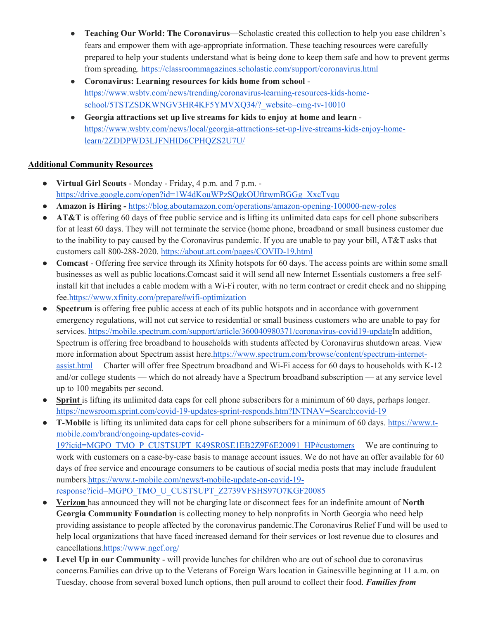- **Teaching Our World: The Coronavirus**—Scholastic created this collection to help you ease children's fears and empower them with age-appropriate information. These teaching resources were carefully prepared to help your students understand what is being done to keep them safe and how to prevent germs from spreading.<https://classroommagazines.scholastic.com/support/coronavirus.html>
- **Coronavirus: Learning resources for kids home from school** [https://www.wsbtv.com/news/trending/coronavirus-learning-resources-kids-home](https://www.wsbtv.com/news/trending/coronavirus-learning-resources-kids-home-school/5TSTZSDKWNGV3HR4KF5YMVXQ34/?_website=cmg-tv-10010)[school/5TSTZSDKWNGV3HR4KF5YMVXQ34/?\\_website=cmg-tv-10010](https://www.wsbtv.com/news/trending/coronavirus-learning-resources-kids-home-school/5TSTZSDKWNGV3HR4KF5YMVXQ34/?_website=cmg-tv-10010)
- **Georgia attractions set up live streams for kids to enjoy at home and learn** [https://www.wsbtv.com/news/local/georgia-attractions-set-up-live-streams-kids-enjoy-home](https://www.wsbtv.com/news/local/georgia-attractions-set-up-live-streams-kids-enjoy-home-learn/2ZDDPWD3LJFNHID6CPHQZS2U7U/)[learn/2ZDDPWD3LJFNHID6CPHQZS2U7U/](https://www.wsbtv.com/news/local/georgia-attractions-set-up-live-streams-kids-enjoy-home-learn/2ZDDPWD3LJFNHID6CPHQZS2U7U/)

### **Additional Community Resources**

- **Virtual Girl Scouts** Monday Friday, 4 p.m. and 7 p.m. [https://drive.google.com/open?id=1W4dKouWPzSQgkOUfttwmBGGg\\_XxcTvqu](https://drive.google.com/open?id=1W4dKouWPzSQgkOUfttwmBGGg_XxcTvqu)
- **Amazon is Hiring -** <https://blog.aboutamazon.com/operations/amazon-opening-100000-new-roles>
- **AT&T** is offering 60 days of free public service and is lifting its unlimited data caps for cell phone subscribers for at least 60 days. They will not terminate the service (home phone, broadband or small business customer due to the inability to pay caused by the Coronavirus pandemic. If you are unable to pay your bill, AT&T asks that customers call 800-288-2020.<https://about.att.com/pages/COVID-19.html>
- **Comcast**  Offering free service through its Xfinity hotspots for 60 days. The access points are within some small businesses as well as public locations.Comcast said it will send all new Internet Essentials customers a free selfinstall kit that includes a cable modem with a Wi-Fi router, with no term contract or credit check and no shipping fee[.https://www.xfinity.com/prepare#wifi-optimization](https://www.xfinity.com/prepare#wifi-optimization)
- **Spectrum** is offering free public access at each of its public hotspots and in accordance with government emergency regulations, will not cut service to residential or small business customers who are unable to pay for services. [https://mobile.spectrum.com/support/article/360040980371/coronavirus-covid19-updateI](https://mobile.spectrum.com/support/article/360040980371/coronavirus-covid19-update)n addition, Spectrum is offering free broadband to households with students affected by Coronavirus shutdown areas. View more information about Spectrum assist here[.https://www.spectrum.com/browse/content/spectrum-internet](https://www.spectrum.com/browse/content/spectrum-internet-assist.html)[assist.html](https://www.spectrum.com/browse/content/spectrum-internet-assist.html) Charter will offer free Spectrum broadband and Wi-Fi access for 60 days to households with K-12 and/or college students — which do not already have a Spectrum broadband subscription — at any service level up to 100 megabits per second.
- **Sprint** is lifting its unlimited data caps for cell phone subscribers for a minimum of 60 days, perhaps longer. <https://newsroom.sprint.com/covid-19-updates-sprint-responds.htm?INTNAV=Search:covid-19>
- **T-Mobile** is lifting its unlimited data caps for cell phone subscribers for a minimum of 60 days. [https://www.t](https://www.t-mobile.com/brand/ongoing-updates-covid-19?icid=MGPO_TMO_P_CUSTSUPT_K49SR0SE1EB2Z9F6E20091_HP#customers)[mobile.com/brand/ongoing-updates-covid-](https://www.t-mobile.com/brand/ongoing-updates-covid-19?icid=MGPO_TMO_P_CUSTSUPT_K49SR0SE1EB2Z9F6E20091_HP#customers)[19?icid=MGPO\\_TMO\\_P\\_CUSTSUPT\\_K49SR0SE1EB2Z9F6E20091\\_HP#customers](https://www.t-mobile.com/brand/ongoing-updates-covid-19?icid=MGPO_TMO_P_CUSTSUPT_K49SR0SE1EB2Z9F6E20091_HP#customers) We are continuing to work with customers on a case-by-case basis to manage account issues. We do not have an offer available for 60 days of free service and encourage consumers to be cautious of social media posts that may include fraudulent numbers[.https://www.t-mobile.com/news/t-mobile-update-on-covid-19](https://www.t-mobile.com/news/t-mobile-update-on-covid-19-response?icid=MGPO_TMO_U_CUSTSUPT_Z2739VFSHS97O7KGF20085) [response?icid=MGPO\\_TMO\\_U\\_CUSTSUPT\\_Z2739VFSHS97O7KGF20085](https://www.t-mobile.com/news/t-mobile-update-on-covid-19-response?icid=MGPO_TMO_U_CUSTSUPT_Z2739VFSHS97O7KGF20085)
- **Verizon** has announced they will not be charging late or disconnect fees for an indefinite amount of **North Georgia Community Foundation** is collecting money to help nonprofits in North Georgia who need help providing assistance to people affected by the coronavirus pandemic.The Coronavirus Relief Fund will be used to help local organizations that have faced increased demand for their services or lost revenue due to closures and cancellations[.https://www.ngcf.org/](https://www.ngcf.org/)
- **Level Up in our Community** will provide lunches for children who are out of school due to coronavirus concerns.Families can drive up to the Veterans of Foreign Wars location in Gainesville beginning at 11 a.m. on Tuesday, choose from several boxed lunch options, then pull around to collect their food. *Families from*